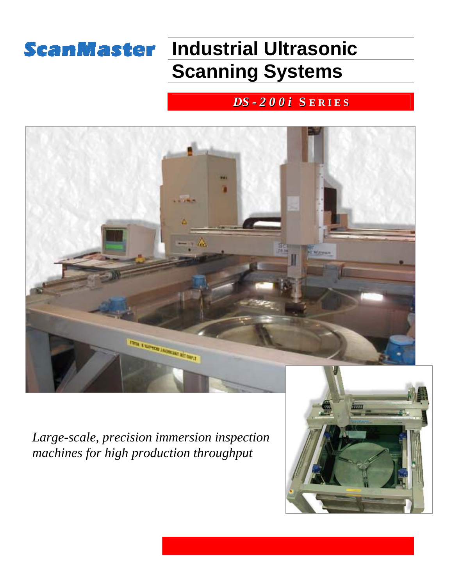## **ScanMaster Industrial Ultrasonic Scanning Systems**

## *DS - 2 0 0 i* **S E R I E S**



*Large-scale, precision immersion inspection machines for high production throughput* 

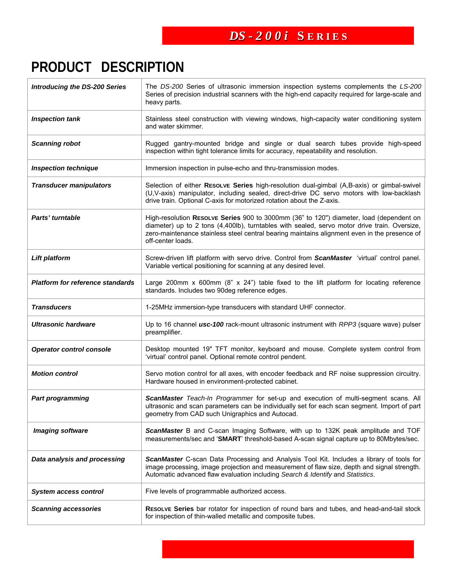# **PRODUCT DESCRIPTION**

| <b>Introducing the DS-200 Series</b>    | The DS-200 Series of ultrasonic immersion inspection systems complements the LS-200<br>Series of precision industrial scanners with the high-end capacity required for large-scale and<br>heavy parts.                                                                                                       |  |  |  |  |
|-----------------------------------------|--------------------------------------------------------------------------------------------------------------------------------------------------------------------------------------------------------------------------------------------------------------------------------------------------------------|--|--|--|--|
| <b>Inspection tank</b>                  | Stainless steel construction with viewing windows, high-capacity water conditioning system<br>and water skimmer.                                                                                                                                                                                             |  |  |  |  |
| <b>Scanning robot</b>                   | Rugged gantry-mounted bridge and single or dual search tubes provide high-speed<br>inspection within tight tolerance limits for accuracy, repeatability and resolution.                                                                                                                                      |  |  |  |  |
| <b>Inspection technique</b>             | Immersion inspection in pulse-echo and thru-transmission modes.                                                                                                                                                                                                                                              |  |  |  |  |
| <b>Transducer manipulators</b>          | Selection of either RESOLVE Series high-resolution dual-gimbal (A,B-axis) or gimbal-swivel<br>(U,V-axis) manipulator, including sealed, direct-drive DC servo motors with low-backlash<br>drive train. Optional C-axis for motorized rotation about the Z-axis.                                              |  |  |  |  |
| Parts' turntable                        | High-resolution RESOLVE Series 900 to 3000mm (36" to 120") diameter, load (dependent on<br>diameter) up to 2 tons (4,400lb), turntables with sealed, servo motor drive train. Oversize,<br>zero-maintenance stainless steel central bearing maintains alignment even in the presence of<br>off-center loads. |  |  |  |  |
| <b>Lift platform</b>                    | Screw-driven lift platform with servo drive. Control from ScanMaster 'virtual' control panel.<br>Variable vertical positioning for scanning at any desired level.                                                                                                                                            |  |  |  |  |
| <b>Platform for reference standards</b> | Large 200mm x 600mm (8" x 24") table fixed to the lift platform for locating reference<br>standards. Includes two 90deg reference edges.                                                                                                                                                                     |  |  |  |  |
| <b>Transducers</b>                      | 1-25MHz immersion-type transducers with standard UHF connector.                                                                                                                                                                                                                                              |  |  |  |  |
| <b>Ultrasonic hardware</b>              | Up to 16 channel usc-100 rack-mount ultrasonic instrument with RPP3 (square wave) pulser<br>preamplifier.                                                                                                                                                                                                    |  |  |  |  |
| <b>Operator control console</b>         | Desktop mounted 19" TFT monitor, keyboard and mouse. Complete system control from<br>'virtual' control panel. Optional remote control pendent.                                                                                                                                                               |  |  |  |  |
| <b>Motion control</b>                   | Servo motion control for all axes, with encoder feedback and RF noise suppression circuitry.<br>Hardware housed in environment-protected cabinet.                                                                                                                                                            |  |  |  |  |
| <b>Part programming</b>                 | ScanMaster Teach-In Programmer for set-up and execution of multi-segment scans. All<br>ultrasonic and scan parameters can be individually set for each scan segment. Import of part<br>geometry from CAD such Unigraphics and Autocad.                                                                       |  |  |  |  |
| <b>Imaging software</b>                 | ScanMaster B and C-scan Imaging Software, with up to 132K peak amplitude and TOF<br>measurements/sec and 'SMART' threshold-based A-scan signal capture up to 80Mbytes/sec.                                                                                                                                   |  |  |  |  |
| Data analysis and processing            | ScanMaster C-scan Data Processing and Analysis Tool Kit. Includes a library of tools for<br>image processing, image projection and measurement of flaw size, depth and signal strength.<br>Automatic advanced flaw evaluation including Search & Identify and Statistics.                                    |  |  |  |  |
| <b>System access control</b>            | Five levels of programmable authorized access.                                                                                                                                                                                                                                                               |  |  |  |  |
| <b>Scanning accessories</b>             | RESOLVE Series bar rotator for inspection of round bars and tubes, and head-and-tail stock<br>for inspection of thin-walled metallic and composite tubes.                                                                                                                                                    |  |  |  |  |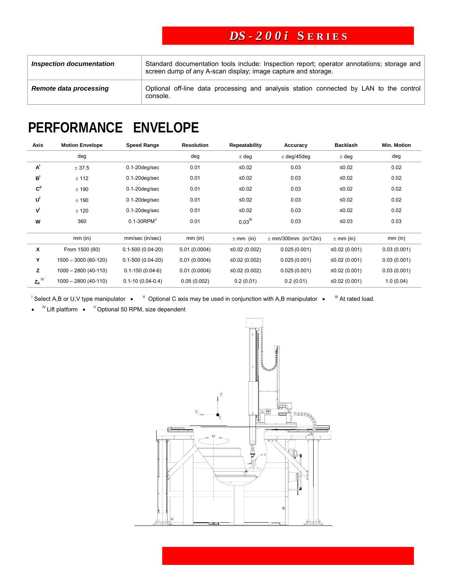### *DS - 2 0 0 i* **S E R I E S**

| <b>Inspection documentation</b> | Standard documentation tools include: Inspection report; operator annotations; storage and<br>screen dump of any A-scan display; image capture and storage. |  |  |  |  |  |
|---------------------------------|-------------------------------------------------------------------------------------------------------------------------------------------------------------|--|--|--|--|--|
| Remote data processing          | Optional off-line data processing and analysis station connected by LAN to the control<br>console.                                                          |  |  |  |  |  |

# **PERFORMANCE ENVELOPE**

| Axis                       | <b>Motion Envelope</b> | <b>Speed Range</b>     | <b>Resolution</b> | <b>Repeatability</b>  | Accuracy                 | <b>Backlash</b> | <b>Min. Motion</b> |
|----------------------------|------------------------|------------------------|-------------------|-----------------------|--------------------------|-----------------|--------------------|
|                            | deg                    |                        | deg               | $±$ deg               | $\pm$ deg/45deg          | $±$ deg         | deg                |
| A <sup>1</sup>             | ± 37.5                 | $0.1 - 20$ deg/sec     | 0.01              | $≤0.02$               | 0.03                     | $≤0.02$         | 0.02               |
| B <sup>1</sup>             | ± 112                  | $0.1 - 20$ deg/sec     | 0.01              | $≤0.02$               | 0.03                     | $≤0.02$         | 0.02               |
| C <sup>II</sup>            | ± 190                  | $0.1 - 20$ deg/sec     | 0.01              | $≤0.02$               | 0.03                     | $≤0.02$         | 0.02               |
| U                          | ± 190                  | $0.1 - 20$ deg/sec     | 0.01              | $≤0.02$               | 0.03                     | $≤0.02$         | 0.02               |
| V                          | ± 120                  | $0.1 - 20$ deg/sec     | 0.01              | $≤0.02$               | 0.03                     | $≤0.02$         | 0.02               |
| W                          | 360                    | $0.1 - 30$ RPM $V$     | 0.01              | $0.03$ <sup>III</sup> | 0.03                     | $≤0.03$         | 0.03               |
|                            | $mm$ (in)              | mm/sec (in/sec)        | $mm$ (in)         | $\pm$ mm (in)         | $\pm$ mm/300mm (in/12in) | $\pm$ mm (in)   | $mm$ (in)          |
| X                          | From 1500 (60)         | $0.1 - 500(0.04 - 20)$ | 0.01(0.0004)      | ≤0.02 (0.002)         | 0.025(0.001)             | ≤0.02 (0.001)   | 0.03(0.001)        |
| Y                          | $1500 - 3000(60-120)$  | $0.1 - 500(0.04 - 20)$ | 0.01(0.0004)      | ≤0.02 $(0.002)$       | 0.025(0.001)             | ≤0.02 $(0.001)$ | 0.03(0.001)        |
| z                          | $1000 - 2800(40-110)$  | $0.1 - 150(0.04 - 6)$  | 0.01(0.0004)      | ≤0.02 (0.002)         | 0.025(0.001)             | ≤0.02 (0.001)   | 0.03(0.001)        |
| $\mathsf{Z_p}^{\text{IV}}$ | $1000 - 2800(40-110)$  | $0.1 - 10(0.04 - 0.4)$ | 0.05(0.002)       | 0.2(0.01)             | 0.2(0.01)                | ≤0.02 (0.001)   | 1.0(0.04)          |

 $\frac{1}{1}$  Select A,B or U,V type manipulator •  $\frac{1}{1}$  Optional C axis may be used in conjunction with A,B manipulator •  $\frac{1}{1}$  At rated load.

•  $N$  Lift platform •  $N$  Optional 50 RPM, size dependent